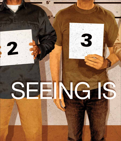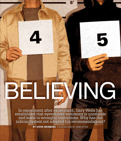In experiment after experiment, Gary Wells has established that eyewitness testimony is unreliable and leads to wrongful convictions. Why has the judicial system not adopted his recommendations?

ELTE) ING

BY STEVE WEINBERG ILLUSTRATIONS BY JOHN RITTER

nov/dec 2012 The American Prospec t 4 5

5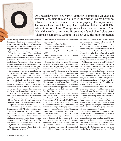

On a Saturday night in July 1984, Jennifer Thompson, a 22-year-old, straight-A student at Elon College in Burlington, North Carolina, returned to her apartment after attending a party. Thompson wasn't feeling well and went to sleep. Her boyfriend left around 11 P.M. About four hours later, Thompson awoke with a man on top of her. He held a knife to her neck. He smelled of alcohol and cigarettes. Thompson screamed. "Shut up, or I'll cut you," the man threatened.

Before, during, and after the man raped her, Thompson willed herself to study his features so she could increase the odds of identifying him later. She made mental note of his closecropped hair, his small almond-shaped eyes, his high, broad cheekbones, his wisp of a mustache.

When the rape was over, Thompson lured the man into the kitchen by promising to pour drinks for both of them. His attention briefly diverted, Thompson ran out the door to a nearby house. The neighbors called 911. Later, Thompson would learn that her assailant broke into a residence less than a mile from her apartment and raped another woman that night.

Accompanied by her boyfriend, Thompson worked with Detective Mike Gauldin on a composite sketch of the rapist. "The mouth wasn't quite right," she recalled, "and the ears stuck out too much, but it was close to the picture in my mind." The second rape victim, Mary Reynolds (a pseudonym), wasn't sure she could identify her assailant. One fact was certain: He was a black male raping white women in a small city with a legacy of shaky race relations.

Two days after circulating the composite, police asked Thompson to return to the station house. Gauldin and two other detectives sat with her. They placed in front of her an array of six photographs. The detectives specified that the rapist might not be in the array.

"I assumed they must have a suspect," Thompson later said. Why else would they have called her to come in? "All I had to do was pick him out. And if I failed to do that, would he go free? Would he find me?" Thompson eliminated four photos easily. Of the two that remained, one brought back "the image of the man performing oral sex on me so violently I thought I would be sick right there."

She pointed to a photo. "Yeah. This is the one. I think this is the guy."

One of the detectives asked, "You think that's the guy?"

Thompson replied, "It's him."

Another detective asked, "You're sure?" She said, "Positive."

A minute later, Thompson asked, "Did I do OK?"

One of the detectives answered, "You did great, Ms. Thompson."

The session had taken five minutes.

Eleven days after the rape, Thompson arrived at the police station to view a live lineup of seven men. No partition separated her from the suspects. The men in the lineup could see and hear her. The detectives told Thompson she should not feel pressure to identify any of the seven, but she felt pressure nonetheless. "If he was here, now he knew what I looked like in broad daylight," Thompson recalled thinking. "He knew my name. If he was here, I couldn't screw this up." She did not want to make eye contact as each man stepped forward. But she had to. Thompson concluded her rapist could have been No. 4 or No. 5.

She listened to their voices again. The voice of No. 5 resonated. She forced herself to look at him. His body was "long and lean." He sported a "light mustache." His eyes looked "cold." Thompson chose number five. In the hallway, she asked Gauldin how she had done. He replied, "We thought that might be the guy. It's the same person you picked from the photos." Thompson felt validated. "We got him," she thought.

His name was Ronald Cotton. He ended up in the photo array and then in the live lineup because of the composite drawing. Twenty-two years old, a ninth-grade dropout, employed at a restaurant, he'd been identified by a manager there who had seen the composite. Cotton had been previously incarcerated for breaking and entering with intent to rape, an arrest he insisted derived from a misunderstanding, not from a violent sexual act.

When Cotton learned that police were searching for him, he went voluntarily to the station. He spoke to detectives without a lawyer present, offering what he believed was a solid alibi, only to realize later he had mixed up his nights. As a result, police were no longer listening to explanations, and he was sitting the county jail, unable to raise enough money for bail.

As Thompson prepared to testify at Cotton's trial, scheduled for January 1985, she learned that Mary Reynolds had not identified Cotton during a lineup. Instead, she had identified a man recruited by police to serve as a filler. Rather than wondering if she had been mistaken, Thompson felt even greater resolve. At trial, when asked if she could identify her rapist, Thompson pointed at Cotton. She noticed his expressionless visage, "as if he didn't care at all what he had done to me."

Cotton's defense lawyer emphasized the lack of physical evidence. Would the jurors convict Cotton solely on the testimony of the victim?, he asked. After all, Thompson had said nothing about identifying marks such as Cotton's scars. The defense wanted to present testimony from an expert about the vagaries of memory, especially during and after a traumatic event. The judge said no. The jury deliberated four hours before finding Cotton guilty. He received life imprisonment plus 50 years.

About three months into his prison sentence, Cotton noticed a new inmate being escorted to a cell. He looked strikingly similar to the composite of the man who had raped Thompson. Approaching the inmate, Cotton asked where he was from. Burlington, the new inmate answered. They exchanged names: Ron Cotton. Bobby Poole. Cotton soon learned the crime that had brought Poole to prison was rape. Their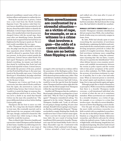physical resemblance caused some of the corrections officers and inmates to confuse the two.

During his second year in prison, Cotton won a new trial from the North Carolina Supreme Court. The justices ruled that Cotton's lawyer should have been permitted to tell the jury about Reynolds's failure to identify the defendant. Cotton's hopes shattered, however, when, a few months before trial, the prosecutor charged Cotton with the second rape; three years after not identifying Cotton, Reynolds said she had recognized him but had been too frightened at the lineup to speak out. The new trial would consolidate the two rapes.

After Thompson's and Reynolds's testimonies, the judge sent the jury away so he could hear arguments about whether the defense would be allowed to question Poole with the jury present. As the jurors waited outside the courtroom, Cotton's lawyer asked Poole if he had raped Thompson and Reynolds. Poole denied everything. An inmate cast doubt on that denial by testifying that Poole had told him he had raped the women. Cotton's lawyer, still outside the presence of the jury, pointed out that Poole had blood type A, the same type found at the Reynolds rape scene. Cotton had blood type O. Nonetheless, the judge ruled that the evidence pointing to Poole was too precarious for the jury to hear.

Thompson saw Cotton and Poole in the courtroom, but when asked if Poole could have been the rapist, she answered no. Later, she recalled being furious that Cotton's lawyers "would try to point the finger at someone else, using a jailhouse snitch to do it, no less. There was never a doubt in my mind that Ronald Cotton was the man who assaulted me." The jurors deliberated about an hour before finding Cotton guilty again.

Thompson did her best to move on with her life. For a long time she found it difficult to trust men. She eventually married, and in 1989 learned she was pregnant with triplets. The rape, though, continued to haunt her. She saw Cotton's face while trying to sleep. She wished he would die in prison.

Then, in March 1995, Detective Gauldin and a prosecutor visited Thompson and her husband at their home. Gauldin was delivering news he knew would upset Thompson. A new team of lawyers had taken on Cotton's case and had

## When eyewitnesses are confronted by a stressful situation as a victim of rape, for example, or as a witness to a crime that involves a gun—the odds of a correct identification are no better than flipping a coin.

arranged a DNA test based on evidence still in the possession of the Burlington police. None of the evidence contained Cotton's DNA, but no DNA showed up from another man, either. That result did not constitute a finding of innocence. The next step, the lawyers had told Cotton, would be to test the rape kit from the hospital where Thompson had been taken right after the assault. But the blood sample from Thompson within the rape kit had deteriorated.

Gauldin told Thompson that she could give a blood sample voluntarily or perhaps face a court order later. "Why do I have to go through this again?" Thompson remembered asking. "I'm supposed to be the victim." Hoping to soothe Thompson, Gauldin said, "Look, we all know it's not going to change anything. It's just a last attempt. Ronald Cotton is going to stay in prison. But they could drag this thing out." Thompson decided to comply, thinking that, finally, she would never have to hear Cotton's name again.

That is not how the script turned out. In June 1995, the new round of testing found insufficient DNA material in Jennifer Thompson's rape kit but found Bobby Poole's DNA in Mary Reynolds's rape kit. Confronted with that evidence, Poole confessed to both rapes.

Cotton attended a brief court hearing

and walked out a free man after 11 years of incarceration.

Thompson, the seemingly ideal eyewitness, had been mistaken. She had chosen the wrong man. She had failed to identify her assailant.

RONALD COTTON'S CONVICTION based on Jennifer Thompson's mistaken identification did not surprise Gary Wells, who worked hundreds of miles away on a university campus in Ames, Iowa.

By 1995, Wells had already spent 21 years researching the uncertainties of eyewitness identification, explaining why faith in such testimony bedevils the criminal-justice system, and devising inexpensive protocols to reduce the number of wrongful convictions. Many jurors find eyewitness testimony more compelling than any other evidence, using the commonsense reasoning that "she was there, I wasn't, who am I to question her identification?" Even when defense lawyers cross-examine eyewitnesses and establish inconsistencies between the version in police reports and the version told at trial, jurors' acceptance of the eyewitness is often unshaken. For Wells, improving the accuracy of eyewitness testimony is a matter of morality, but it is also a law-and-order issue: When an innocent person is convicted, the actual rapists and murderers remain atlarge, free to rape and murder again and again.

Although people like to think of themselves as perceptive, Wells's research has established that there is a Jennifer Thompson inside everyone, a well-intentioned individual who is certain of what she saw yet is sometimes mistaken. When eyewitnesses are confronted by a stressful situation—as a victim of rape, for example, or as a witness to a crime that involves a gun—the odds of a correct identification are no better than flipping a coin to decide.

Over the past 40 years, Wells has become the most visible eyewitness researcher in a field crowded with accomplished researchers. No one else in the field possesses Wells's combination as a big-picture thinker, laboratory researcher, and effective advocate for reform within the judicial system. Under six feet and of slight build, with thinning, longish hair, he's not physical imposing. His attire tends toward the informal, jeans and a sport jacket. He could blend in anywhere.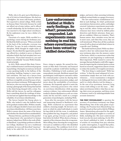Wells, who is 62, grew up in Hutchinson, a city of 37,500 in Central Kansas. His dad was a firefighter; his mom sold beauty products. Not expected to attend college, Wells settled on Kansas State University because he could not afford out-of-state tuition, and it offered a small scholarship. By his freshman year, he was married to his high-school sweetheart. By his sophomore year, he was a father of a baby boy.

Uncertain of a major, Wells enrolled in a psychology course during his freshman year. He liked the field's newness. "When you looked in the back of the textbooks, everyone was still alive," he says. In such a relatively young discipline, Wells thought he might make an impact. He also liked the opportunity psychology offered for a student to prove or disprove mistaken beliefs that had morphed into societal norms. "If you don't measure it, you can't study it scientifically" became Wells's foundational principle.

In 1973, Wells entered Ohio State University's combined master's and doctoral program in psychology. During his second year, he heard a man speaking loudly in the hallway of the psychology building, hoping to rouse someone's attention. The man was a lawyer from Cincinnati, representing a client he believed had been wrongfully arrested because of mistaken eyewitness testimony. Wells approached the lawyer, who was carrying an envelope containing a photograph of the lineup that had led to the client being charged with a crime. Yes, Wells told the lawyer, he and his colleagues knew something about the workings of memory but had not applied that knowledge to the reliability of eyewitness identification.

The lawyer handed the lineup photo to Wells, who tacked it onto the bulletin board in his graduate student office. Within a month, he and a colleague decided to learn more about eyewitness identification. (All these years later, Wells is unsure about the name of the lawyer and whether the client had been misidentified.)

Thomas Ostrom, a professor in the psychology department who specialized in human memory, helped steer Wells to the work of Robert Buckhout. A psychology professor at Brooklyn College, Buckhout was not a traditional academic; he was a self-described "smartass." Early in his adult life, he served in the Air

## Law-enforcement bridled at Wells's early findings. So what?, prosecutors responded. Lab experiments mean nothing in real life, where eyewitnesses have been vetted by skilled detectives.

Force, rising to captain. He earned his doctorate at Ohio State University and bounced around the academic world before landing at Brooklyn. Publishing in both academic and nonacademic journals, Buckhout argued that psychologists could improve outcomes within the criminal-justice system by sharing their expertise with police, prosecutors, judges, and jurors about the unreliability of eyewitness testimony. He frequently agreed to assist the defense, criticizing prosecutors who relied on eyewitness identification while ignoring contrary evidence. Law-enforcement officials tended to dismiss Buckhout as a soft-on-crime crank, but his zeal left a mark on a younger generation of psychologists, including Wells.

Soon after his encounter with the lawyer and immersing himself in Buckhout's writings, Wells conducted an experiment that yielded a stunning insight. He devised a scenario in which he asked individuals to watch his bag while he left the room. A confederate then grabbed the bag, dropped it, and picked it up again, giving everyone a good look at him before he bolted. When shown a lineup, a majority of the witnesses chose the wrong man. More telling, those choosing the wrong person were just as confident as those who identified the right person. The confidence level of witnesses, a crucial factor for police, prosecutors,

judges, and jurors when assessing testimony, suddenly seemed shaky as a gauge of accuracy.

The law-enforcement establishment bridled at such findings. So what?, professional associations of prosecutors, police, and judges retorted. Laboratory experiments mean nothing in real life, where victims and other eyewitnesses have been vetted by skilled police detectives and district attorneys. Some people are confident. Others are tentative. That's human nature. Sure, mistakes occur, but not in most cases, and when they occur, they are well intentioned. What does all this academic research tell us about an individual witness in a specific case? Nothing.

The battle had been joined. Wells was determined to show law enforcement that eyewitness testimony plays into the memory center of the brain, which is a mysterious realm that scientists are just beginning to understand. Most important, Wells wanted to convey the message that psychologists could offer suggestions for improving the criminal-justice system based on research, suggestions almost certain to reduce the number of wrongful convictions.

"The first thing to understand," Wells has written, "is that the usual safeguard of crossexamination simply does not work with eyewitnesses. … Cross-examination is designed to distinguish between truth tellers and liars and it is a fairly effective tool for doing so. … In the case of an eyewitness, however, lying versus truth telling is not the issue. … Mistaken eyewitnesses believe what they are saying, their errors are genuine, and those errors of memory tend to be indistinguishable from accurate memories."

THE FIRST PSYCHOLOGIST to question the accuracy of eyewitness testimony was Hugo Munsterberg. One of the early giants of psychology, the Prussian-born Munsterberg was invited to teach at Harvard in 1892 by William James. Munsterberg advocated for the application of psychological insights to a variety of fields, including law. His most controversial book was also his most enduring, *On the Witness Stand*, published in 1908. A collection of articles on everything from jury selection to police interrogation, it argued that police, prosecutors, and judges should be wary of eyewitness testimony.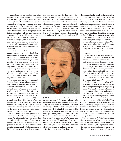Munsterberg did not conduct controlled research, but he offered himself as an example of an unreliable eyewitness after his home had been burglarized. Despite Munsterberg's close examination of the crime scene and renowned memory (he lectured without consulting notes), his testimony under oath was riddled with errors. In his book, Munsterberg emphasized that such mistakes, while not inevitable, occur as a matter of course: "We never know from

the material itself whether we remember, perceive or imagine, and in the borderland regions there must result plenty of confusion which cannot always remain without dangerous consequences in the courtroom."

Munsterberg lived before the era of modern electronics, but he implicitly understood that human memory is not the equivalent of a tape recorder or camera, popular but mistaken analogies relied upon by police, prosecutors, judges, and jurors. Witnesses testify under oath that they remember a face at a crime scene; even though they are wrong, everyone believes the testimony, as everybody would believe Jennifer Thompson. Munsterberg lost the campaign to insert psychological insights into courtrooms.

Sixty years later, though, psychologist Elizabeth Loftus would validate his assertions. While earning her doctorate from Stanford University in the late 1960s, Loftus became intrigued with Munsterberg's work. Teaching at the University of Washington, among other schools, she focused on the malleability of brain centers, especially how memory could be surprisingly unreliable. The process of viewing something and then storing the images in the brain and retrieving those images is far more complex than popularly assumed. False memories, for instance, can be created after an accurate memory has been established.

An example of Loftus's memory research with obvious implications for cases of wrongful conviction: She asked students to view a film of an automobile accident. Half the students answered the question "How fast was the white sports car going when it passed the barn while traveling along the country road?" No barn appeared in the film. About 20 percent of the students said

they had seen the barn. By showing how her students "saw" something nonexistent, Loftus established how contamination can affect memory. A victim chooses No. 2 from a lineup of six men, for example, because he had already seen No. 2 in the photo array. Contamination has occurred. It was through experiments like this that Loftus changed the entire conversation about eyewitness testimony. The question was no longer "How good are eyewitnesses?"



but "What are the factors that affect eyewitness performance?" Buckhout had not made eyewitness research respectable. Loftus did.

By the time Wells settled in at Iowa State University, in 1988, he had developed an elegant, deceptively simple framework for his research. He differentiated between the elements police and prosecutors could not control (what he called "estimator variables") and those they could ("system variables"). An example of an estimator variable might include the adequacy of light at the crime scene, the duration of the crime, or the racial and ethnic identities of victims, witnesses, and perpetrators.

For instance, research has shown that eye-

witness unreliability tends to increase when the alleged perpetrators and the witnesses are of a different race. Caucasians are less reliable when trying to identify African Americans, and African Americans are less reliable when trying to identify Caucasians. Witnesses viewing an image of a Caucasian male holding a weapon, with an African American male beside him, tend to recall that the African American was brandishing the weapon. Given the dis-

proportionate number of African Americans among the wrongfully convicted, the research findings were important. They could be useful during a trial. But those studies could not improve the accuracy of eyewitnesses, because the elements were beyond the control of police and prosecutors.

Wells decided to focus on the elements that could be controlled. He embarked on a series of observations that involved multiple witnesses observing staged crimes in progress and then viewing lineups and photo arrays after the action occurred. The experiments consistently showed that many of the witnesses identified the wrong alleged perpetrator. Clearly, some mechanism within the human brain was triggering the mistakes. But which mechanism? How could it be bypassed?

Clarity began to emerge when Wells experimented with six-person lineups and six-person photo arrays typically used by police. One hundred witnesses to a staged crime viewed a lineup and a photo array that included the perpetrator. Fifty-four accurately picked the perpetrator. Twenty-

five failed to. Twenty-one said they did not think the perpetrator had been included. Then a different group of 100 viewed the same staged crime, live lineup, and photo array. This time, however, Wells did not include the perpetrator. Thirty-two witnesses correctly chose nobody. Almost all of the remaining witnesses selected the innocent individual who most resembled the perpetrator.

What had happened? Wells theorized that when witnesses are asked to choose among multiple suspects, those witnesses often make a relative judgment, identifying the suspect who looks the most like the perpetrator, even when the perpetrator is absent. Imperfect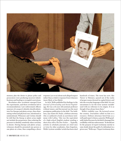

memory plus the desire to please police and prosecutors were producing incorrect identifications and leading to wrongful convictions.

Revelation after revelation emerged from the experiments, and those revelations led to recommendations: Law-enforcement officers unaware of a suspect's identity should administer live lineups and photo arrays, thus eliminating verbal and physical cues, intentional or unintentional. Witnesses and victims should be told that the lineup or photo array might not include the perpetrator, thus reducing the pressure to identify somebody when certainty is absent. During lineups and photo arrays, witnesses should be presented one person or one photo at a time, thus compelling a direct response (yes or no) about each alleged suspect rather than a relative response from witnesses (more likely or less likely).

In 1978, Wells published his findings in the *Journal of Personality and Social Psychology*. He was a 28-year-old assistant professor without tenure, and the journal was the most prestigious publication in the field. "For boldness, says James M. Doyle, a defense attorney who co-authored a book on eyewitness testimony with Loftus, "this was the equivalent of a high-school English student sending a short story off to *The New Yorker*. … Typically, articles in scholarly journals are cited once or twice by other academics, then forgotten. Wells's 'system variables' article has been cited

hundreds of times. The term has now, like 'Xerox' or 'Kleenex,' passed out of the realm of proper nouns dressed in capital letters and into the everyday language of the field. It is not uncommon to see the term 'system variable' used with no reference to its origins. It is as though it has always been there."

Wells's visibility rose. He lectured across the country. Journalists called on him as a resource. Defense attorneys hired him as a well-paid expert witness, a practice Wells gradually halted because he decided it damaged his credibility with law enforcement. "It should not be the purpose of expert testimony merely to raise doubt about the guilt of a defendant in a given case," Wells says. "Expert testimony does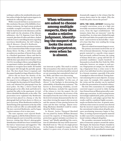nothing to address the misidentification problem unless it helps the legal system improve its methods for collecting the evidence."

Wells's research led him to an incontrovertible conclusion: Because of the fallibility of eyewitness testimony, the legal system produced avoidable wrongful convictions. Wells hoped what he had learned in the laboratory and the field would win the attention of the ultimate arbitrators—the U.S. Supreme Court. But his research, plus that of Loftus and others, clashed with the Court's controlling decision regarding eyewitness identification, the 1977 ruling in *John R. Manson v. Nowell A. Brathwaite*.

The case centered on the eyewitness testimony of a Connecticut State Police trooper named Jimmy Glover. On May, 5, 1970, Glover made an undercover purchase of heroin from a seller in a Hartford apartment. Glover said that he observed the seller from outside the apartment, with the door open about 12 to 18 inches. It was 7:45 P.M. According to Glover, natural light from an apartment window provided adequate illumination to recognize faces inside. He handed the suspect \$20 through the partially opened door. The door closed. Soon it reopened, and the suspect handed two bags of heroin to Glover.

Glover did not know the identity of the seller. At police headquarters, he described the suspect to two colleagues. One of the officers thought the description fit Nowell Brathwaite and obtained his photograph from the local police. On May 7, Glover found that photograph on his office desk and believed it matched the seller in the apartment. At trial, Glover identified Brathwaite as the seller. The prosecution never explained why Brathwaite had not been placed in a lineup or why the photograph had not been shown to Glover as part of an array. When Brathwaite testified, he denied being at the apartment on the day of the sale but could not offer an unbreakable alibi. The jury convicted Brathwaite, and he began a prison sentence of six to nine years.

The state supreme court rejected Brathwaite's appeal, as did the federal district court. A federal appeals court reversed the conviction, however, stating that Glover's photographic identification should have been excluded from the trial as "unnecessary and suggestive." The U.S. Supreme Court agreed to hear the case.

It is impossible to know whether Brathwaite

When witnesses are asked to choose among multiple suspects, they often make a relative judgment, identifying the suspect who looks the most like the perpetrator, even when he is absent.

was innocent or guilty. This much is certain: The seven justices who ruled on June 16, 1977, that Brathwaite's conviction should be restored set out reasoning that contradicted what Loftus, Wells, and others were discovering.

Writing for the majority, Justice Harry Blackmun said "reliability" (in this case, of Glover) "is the linchpin in determining the admissibility of identification testimony." The factors in determining reliability, according to Blackmun, included the opportunity of the witness to view the suspect, the witness's degree of attention, the accuracy of the description from the start of the case onward, the level of certainty demonstrated by the witness when viewing the suspect after an arrest, and the amount of time passing between the crime and the later viewings. Almost everything Blackmun identified would be contradicted by Wells's research.

In dissent, Justice Thurgood Marshall (he was joined by Justice William Brennan) accused the majority of "dismantl[ing] the protections against mistaken eyewitness testimony" and "blindly uphold[ing] the conviction of a defendant who may well be innocent." Marshall went on: "The use of a single picture (or the display of a single live suspect, for that matter) is a grave error, of course, because it dramatically suggests to the witness that the person shown must be the culprit. Why else would the police choose the person?"

UNTIL THE 1990S, ANYBODY claiming that wrongful convictions occur at a high rate invariably encountered skepticism, and often scorn, from the legal establishment: "All inmates claim they are innocent," went the standard line. As crime rates climbed through the 1970s and 1980s, few people in law enforcement—and even fewer in elected office—wanted to hear that they were sending the wrong people to prison.

Then two related movements began to occur. The primary movement involved the use of DNA in forensic laboratories. Trying to match genetic material to a specific crime suspect had previously suffered because the typing of human blood into a group still left lots of potential candidates—maybe hundreds of thousands in a locale like New York City. DNA molecules, however, are unique to each person. Fingerprints are unique, too. But matching a fingerprint from a crime scene to the print of an individual involves interpretation by a forensic examiner, especially if the print is smudged or otherwise flawed. Testing material containing DNA is more objective. In many rape cases, for example, DNA samples from the victim and the attacker can be matched to allow the presentation of ironclad evidence.

The first DNA exoneration of a wrongfully convicted suspect occurred in 1989, freeing Gary Dotson from an Illinois prison after a mistaken rape conviction. As DNA testing became increasingly sophisticated, police, prosecutors, defense lawyers, and judges agreed that the results could be considered highly accurate maybe not flawless but close. As genetic material from crime scenes in current cases showed that the incorrect suspect had been arrested, the conventional wisdom about all guilty prisoners proclaiming innocence began to fray. Then, as testing of preserved genetic material in older cases led to exonerations, the conventional wisdom collapsed altogether.

The secondary movement involved the creation of innocence projects around the nation. The largest, the Innocence Project, founded in New York City by lawyers Barry Scheck and Peter Neufeld in 1992, specialized in exonerating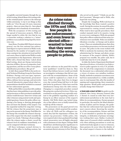wrongfully convicted inmates through the use of DNA testing. Scheck likens DNA testing within the criminal-justice system to the telescope within astronomy, "a way to see things as they really are." Over the past 30 years, innocence projects—there are more than 50—have played a significant role in hundreds of exonerations.

With the acceptance of DNA testing and the spread of innocence projects, Wells no longer needed to refute the view that he was a researcher seeking a solution to a "minor" problem or an academic being duped by streetwise cons.

Janet Reno, President Bill Clinton's attorney general, was the first national law-enforcement figure to express interest in Wells's work. Alarmed by the number of wrongful convictions coming to her attention in local and federal courts, Reno in 1996 invited Wells to make a presentation to the department. Afterward, Wells told a friend that Reno "asked about blind testing, about pre-lineup instructions, selection of fillers, the use of composites, leading questions, and the use of live versus photoidentification procedures. She got it!"

In 1997, Reno named Wells to the newly created Technical Working Group for Eyewitness Evidence. During a two-year span, representatives from police departments, prosecutors' offices, defense-lawyer groups, and university research laboratories argued about what recommendations should be included in a manual for law-enforcement agencies.

Wells and his fellow researchers felt confident that they knew what guidelines to provide police and prosecutors so that eyewitness misidentifications would decrease: Interview victims and other witnesses using neutral words and openended questions. Ensure the police officer conducting a live lineup or showing photographs does not know the identity of the suspect. Use the sequential method for mug-shot viewing. Tell the witness that the perpetrator may or may not be present in the lineup. Find fillers for the lineup who resemble the witness's description of the suspect but who don't resemble the suspect too closely. Videotape all proceedings. After the witness makes a choice, record the witness's level of confidence immediately, so it can be compared with later testimony.

All these techniques seemed obvious to Wells and his allies in drafting sessions, but

As crime rates climbed through the 1970s and 1980s, few people in law enforcement and even fewer in elected office wanted to hear that they were sending the wrong people to prison.

some law enforcers on the panel felt even the term "guidelines" would box them in. They feared that defense lawyers would cast doubt on investigative techniques that did not comport with the recommendations. Some of the rancor could be explained as a clash of cultures. Police who place their lives in danger every day resisted being told how to do their jobs better by professors. Police have used the simultaneous lineup since the 19th century. Changing to a sequential procedure seemed like going into uncharted territory. Police representatives on the panel were especially resistant to the guideline regarding conduct of a lineup by an officer unaware of the suspect's identity. Did Wells think cops lacked integrity or that officers were so badly trained they would tip off the witness?

The prosecutors on the panel proved even more resistant, which surprised the academics. After all, Wells and his colleagues reasoned, they had the imprimatur of Reno, the nation's top prosecutor. Unlike police, who were required only to have graduated from high school, prosecutors were all highly educated, with a minimum of a law degree. Perhaps Wells should have attributed greater significance to his initial encounter with Melissa Mourges, an assistant district attorney in New York City who served on the panel. "I think you are the devil incarnate," Mourges said to Wells, who hoped she was joking.

Despite the wrangling, Wells took heart in the knowledge that Reno wanted a positive result. During the sessions, he sensed the police representatives coming around somewhat. Police tend to favor specific procedures; their conduct manuals tend to be massive, trying to cover every contingency. Wells also grasped that police officers understood that many eyewitnesses were unreliable. Police see misidentifications everyday—at lineups and in photo arrays. These are misidentifications that often occur before prosecutors ever become involved in cases. The police in the room worked with Wells to moderate his insistence that officers administering live lineups and photo arrays be unaware of the suspect's identity. Wells's proposal was sensible, the police said, but it would take time for it to be adopted.

In 1999, the Justice Department distributed *Eyewitness Evidence: A Guide for Law Enforcement* to police agencies in every U.S. jurisdiction. For all of the compromises it contained, the document was a substantial achievement, a victory of science over mindless tradition. Finally, methods to minimize eyewitness error had been memorialized in a widely available, easy-to-read manual. But, after the months of arguing and compromising, there remained a huge question: Would police and prosecutors actually change their behavior?

A year and a half after the guide was distributed, New Jersey Attorney General John J. Farmer Jr. issued an order that every lawenforcement jurisdiction in the state had to follow its recommendations. Farmer grasped, in particular, the need for the blind administration of photo and live lineups, the guideline that law enforcement had expressed the most concern about. Knowing the sensitivity of the recommendation, Farmer said that it "is not intended to question the expertise, integrity, or dedication of primary investigators working their cases. Rather, it acknowledges years of research which concludes that even when utilizing precautions to avoid any inadvertent body signals or cues to witnesses, these gestures do occur when the identity of the actual suspect is known to the individu